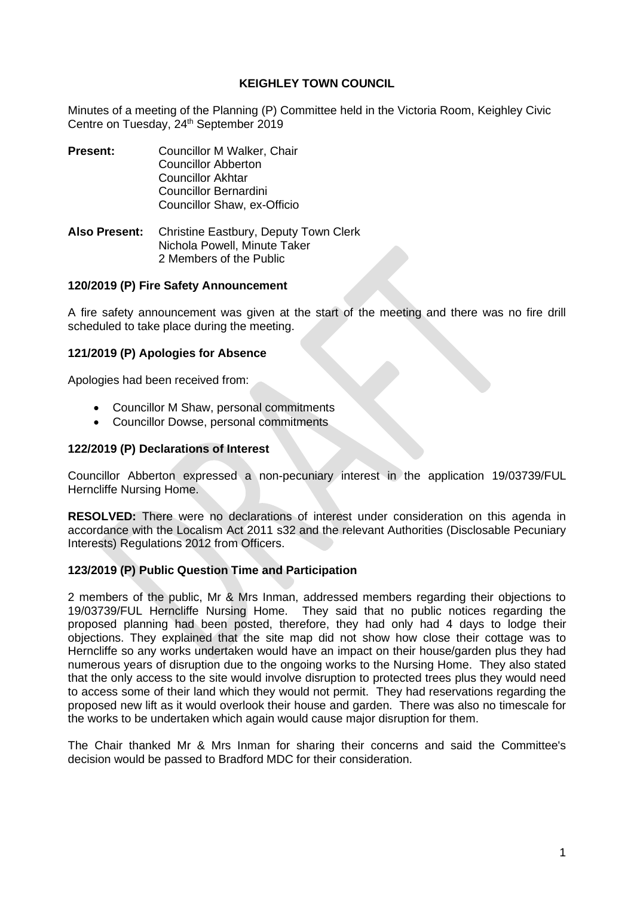#### **KEIGHLEY TOWN COUNCIL**

Minutes of a meeting of the Planning (P) Committee held in the Victoria Room, Keighley Civic Centre on Tuesday, 24<sup>th</sup> September 2019

- **Present:** Councillor M Walker, Chair Councillor Abberton Councillor Akhtar Councillor Bernardini Councillor Shaw, ex-Officio
- **Also Present:** Christine Eastbury, Deputy Town Clerk Nichola Powell, Minute Taker 2 Members of the Public

#### **120/2019 (P) Fire Safety Announcement**

A fire safety announcement was given at the start of the meeting and there was no fire drill scheduled to take place during the meeting.

## **121/2019 (P) Apologies for Absence**

Apologies had been received from:

- Councillor M Shaw, personal commitments
- Councillor Dowse, personal commitments

#### **122/2019 (P) Declarations of Interest**

Councillor Abberton expressed a non-pecuniary interest in the application 19/03739/FUL Herncliffe Nursing Home.

**RESOLVED:** There were no declarations of interest under consideration on this agenda in accordance with the Localism Act 2011 s32 and the relevant Authorities (Disclosable Pecuniary Interests) Regulations 2012 from Officers.

#### **123/2019 (P) Public Question Time and Participation**

2 members of the public, Mr & Mrs Inman, addressed members regarding their objections to 19/03739/FUL Herncliffe Nursing Home. They said that no public notices regarding the proposed planning had been posted, therefore, they had only had 4 days to lodge their objections. They explained that the site map did not show how close their cottage was to Herncliffe so any works undertaken would have an impact on their house/garden plus they had numerous years of disruption due to the ongoing works to the Nursing Home. They also stated that the only access to the site would involve disruption to protected trees plus they would need to access some of their land which they would not permit. They had reservations regarding the proposed new lift as it would overlook their house and garden. There was also no timescale for the works to be undertaken which again would cause major disruption for them.

The Chair thanked Mr & Mrs Inman for sharing their concerns and said the Committee's decision would be passed to Bradford MDC for their consideration.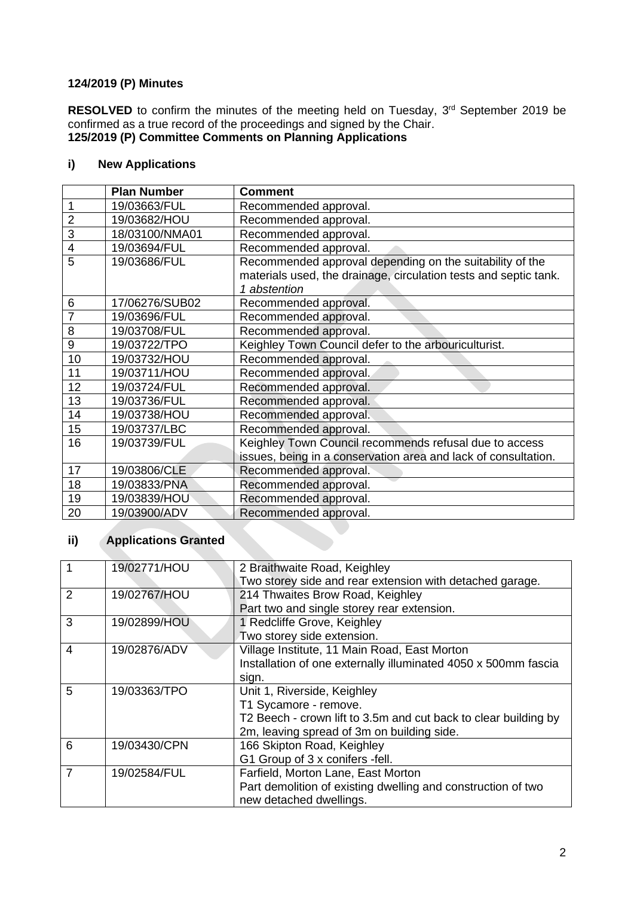## **124/2019 (P) Minutes**

RESOLVED to confirm the minutes of the meeting held on Tuesday, 3<sup>rd</sup> September 2019 be confirmed as a true record of the proceedings and signed by the Chair. **125/2019 (P) Committee Comments on Planning Applications**

# **i) New Applications**

|                | <b>Plan Number</b> | <b>Comment</b>                                                   |
|----------------|--------------------|------------------------------------------------------------------|
|                | 19/03663/FUL       | Recommended approval.                                            |
| $\overline{2}$ | 19/03682/HOU       | Recommended approval.                                            |
| 3              | 18/03100/NMA01     | Recommended approval.                                            |
| $\overline{4}$ | 19/03694/FUL       | Recommended approval.                                            |
| 5              | 19/03686/FUL       | Recommended approval depending on the suitability of the         |
|                |                    | materials used, the drainage, circulation tests and septic tank. |
|                |                    | 1 abstention                                                     |
| 6              | 17/06276/SUB02     | Recommended approval.                                            |
| 7              | 19/03696/FUL       | Recommended approval.                                            |
| 8              | 19/03708/FUL       | Recommended approval.                                            |
| 9              | 19/03722/TPO       | Keighley Town Council defer to the arbouriculturist.             |
| 10             | 19/03732/HOU       | Recommended approval.                                            |
| 11             | 19/03711/HOU       | Recommended approval.                                            |
| 12             | 19/03724/FUL       | Recommended approval.                                            |
| 13             | 19/03736/FUL       | Recommended approval.                                            |
| 14             | 19/03738/HOU       | Recommended approval.                                            |
| 15             | 19/03737/LBC       | Recommended approval.                                            |
| 16             | 19/03739/FUL       | Keighley Town Council recommends refusal due to access           |
|                |                    | issues, being in a conservation area and lack of consultation.   |
| 17             | 19/03806/CLE       | Recommended approval.                                            |
| 18             | 19/03833/PNA       | Recommended approval.                                            |
| 19             | 19/03839/HOU       | Recommended approval.                                            |
| 20             | 19/03900/ADV       | Recommended approval.                                            |

# **ii) Applications Granted**

|                   | 19/02771/HOU | 2 Braithwaite Road, Keighley                                    |  |
|-------------------|--------------|-----------------------------------------------------------------|--|
|                   |              | Two storey side and rear extension with detached garage.        |  |
| 2                 | 19/02767/HOU | 214 Thwaites Brow Road, Keighley                                |  |
|                   |              | Part two and single storey rear extension.                      |  |
| 3<br>19/02899/HOU |              | 1 Redcliffe Grove, Keighley                                     |  |
|                   |              | Two storey side extension.                                      |  |
| 4                 | 19/02876/ADV | Village Institute, 11 Main Road, East Morton                    |  |
|                   |              | Installation of one externally illuminated 4050 x 500mm fascia  |  |
|                   |              | sign.                                                           |  |
| 5                 | 19/03363/TPO | Unit 1, Riverside, Keighley                                     |  |
|                   |              | T1 Sycamore - remove.                                           |  |
|                   |              | T2 Beech - crown lift to 3.5m and cut back to clear building by |  |
|                   |              | 2m, leaving spread of 3m on building side.                      |  |
| 6                 | 19/03430/CPN | 166 Skipton Road, Keighley                                      |  |
|                   |              | G1 Group of 3 x conifers -fell.                                 |  |
| 7                 | 19/02584/FUL | Farfield, Morton Lane, East Morton                              |  |
|                   |              | Part demolition of existing dwelling and construction of two    |  |
|                   |              | new detached dwellings.                                         |  |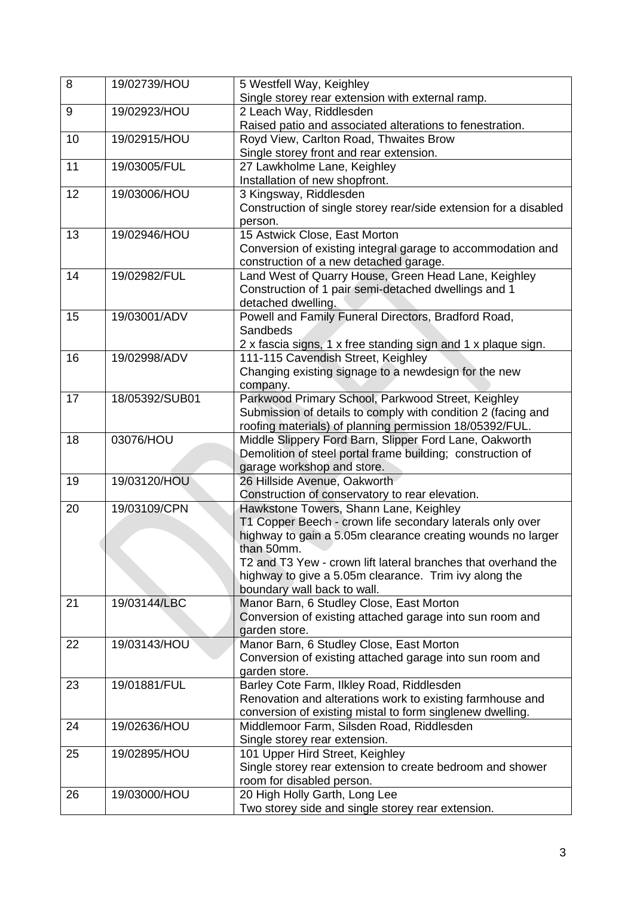| 8  | 19/02739/HOU   | 5 Westfell Way, Keighley                                                  |  |
|----|----------------|---------------------------------------------------------------------------|--|
|    |                | Single storey rear extension with external ramp.                          |  |
| 9  | 19/02923/HOU   | 2 Leach Way, Riddlesden                                                   |  |
|    |                | Raised patio and associated alterations to fenestration.                  |  |
| 10 | 19/02915/HOU   | Royd View, Carlton Road, Thwaites Brow                                    |  |
| 11 | 19/03005/FUL   | Single storey front and rear extension.<br>27 Lawkholme Lane, Keighley    |  |
|    |                | Installation of new shopfront.                                            |  |
| 12 | 19/03006/HOU   | 3 Kingsway, Riddlesden                                                    |  |
|    |                | Construction of single storey rear/side extension for a disabled          |  |
|    |                | person.                                                                   |  |
| 13 | 19/02946/HOU   | 15 Astwick Close, East Morton                                             |  |
|    |                | Conversion of existing integral garage to accommodation and               |  |
|    |                | construction of a new detached garage.                                    |  |
| 14 | 19/02982/FUL   | Land West of Quarry House, Green Head Lane, Keighley                      |  |
|    |                | Construction of 1 pair semi-detached dwellings and 1                      |  |
|    |                | detached dwelling.                                                        |  |
| 15 | 19/03001/ADV   | Powell and Family Funeral Directors, Bradford Road,                       |  |
|    |                | Sandbeds                                                                  |  |
|    |                | 2 x fascia signs, 1 x free standing sign and 1 x plaque sign.             |  |
| 16 | 19/02998/ADV   | 111-115 Cavendish Street, Keighley                                        |  |
|    |                | Changing existing signage to a newdesign for the new                      |  |
|    |                | company.                                                                  |  |
| 17 | 18/05392/SUB01 | Parkwood Primary School, Parkwood Street, Keighley                        |  |
|    |                | Submission of details to comply with condition 2 (facing and              |  |
|    |                | roofing materials) of planning permission 18/05392/FUL.                   |  |
| 18 | 03076/HOU      | Middle Slippery Ford Barn, Slipper Ford Lane, Oakworth                    |  |
|    |                | Demolition of steel portal frame building; construction of                |  |
|    |                | garage workshop and store.                                                |  |
| 19 | 19/03120/HOU   | 26 Hillside Avenue, Oakworth                                              |  |
|    |                | Construction of conservatory to rear elevation.                           |  |
| 20 | 19/03109/CPN   | Hawkstone Towers, Shann Lane, Keighley                                    |  |
|    |                | T1 Copper Beech - crown life secondary laterals only over                 |  |
|    |                | highway to gain a 5.05m clearance creating wounds no larger<br>than 50mm. |  |
|    |                | T2 and T3 Yew - crown lift lateral branches that overhand the             |  |
|    |                | highway to give a 5.05m clearance. Trim ivy along the                     |  |
|    |                | boundary wall back to wall.                                               |  |
| 21 | 19/03144/LBC   | Manor Barn, 6 Studley Close, East Morton                                  |  |
|    |                | Conversion of existing attached garage into sun room and                  |  |
|    |                | garden store.                                                             |  |
| 22 | 19/03143/HOU   | Manor Barn, 6 Studley Close, East Morton                                  |  |
|    |                | Conversion of existing attached garage into sun room and                  |  |
|    |                | garden store.                                                             |  |
| 23 | 19/01881/FUL   | Barley Cote Farm, Ilkley Road, Riddlesden                                 |  |
|    |                | Renovation and alterations work to existing farmhouse and                 |  |
|    |                | conversion of existing mistal to form singlenew dwelling.                 |  |
| 24 | 19/02636/HOU   | Middlemoor Farm, Silsden Road, Riddlesden                                 |  |
|    |                | Single storey rear extension.                                             |  |
| 25 | 19/02895/HOU   | 101 Upper Hird Street, Keighley                                           |  |
|    |                | Single storey rear extension to create bedroom and shower                 |  |
|    |                | room for disabled person.                                                 |  |
| 26 | 19/03000/HOU   | 20 High Holly Garth, Long Lee                                             |  |
|    |                | Two storey side and single storey rear extension.                         |  |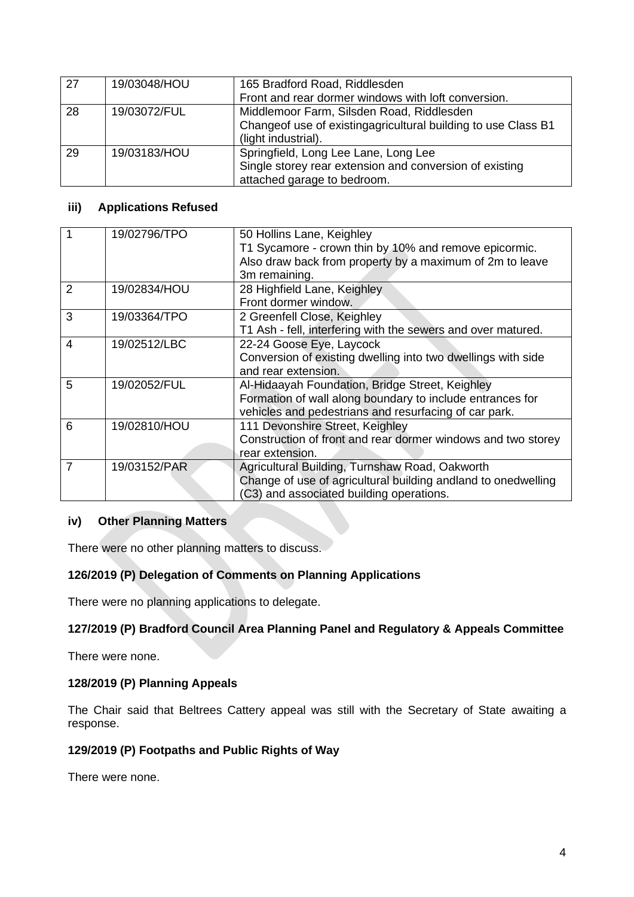| 27 | 19/03048/HOU | 165 Bradford Road, Riddlesden<br>Front and rear dormer windows with loft conversion.                                           |  |
|----|--------------|--------------------------------------------------------------------------------------------------------------------------------|--|
|    |              |                                                                                                                                |  |
| 28 | 19/03072/FUL | Middlemoor Farm, Silsden Road, Riddlesden                                                                                      |  |
|    |              | Changeof use of existing agricultural building to use Class B1<br>(light industrial).                                          |  |
| 29 | 19/03183/HOU | Springfield, Long Lee Lane, Long Lee<br>Single storey rear extension and conversion of existing<br>attached garage to bedroom. |  |

## **iii) Applications Refused**

|   | 19/02796/TPO | 50 Hollins Lane, Keighley<br>T1 Sycamore - crown thin by 10% and remove epicormic.<br>Also draw back from property by a maximum of 2m to leave<br>3m remaining.       |
|---|--------------|-----------------------------------------------------------------------------------------------------------------------------------------------------------------------|
|   | 19/02834/HOU | 28 Highfield Lane, Keighley<br>Front dormer window.                                                                                                                   |
| 3 | 19/03364/TPO | 2 Greenfell Close, Keighley<br>T1 Ash - fell, interfering with the sewers and over matured.                                                                           |
| 4 | 19/02512/LBC | 22-24 Goose Eye, Laycock<br>Conversion of existing dwelling into two dwellings with side<br>and rear extension.                                                       |
| 5 | 19/02052/FUL | Al-Hidaayah Foundation, Bridge Street, Keighley<br>Formation of wall along boundary to include entrances for<br>vehicles and pedestrians and resurfacing of car park. |
| 6 | 19/02810/HOU | 111 Devonshire Street, Keighley<br>Construction of front and rear dormer windows and two storey<br>rear extension.                                                    |
| 7 | 19/03152/PAR | Agricultural Building, Turnshaw Road, Oakworth<br>Change of use of agricultural building andland to onedwelling<br>(C3) and associated building operations.           |

## **iv) Other Planning Matters**

There were no other planning matters to discuss.

## **126/2019 (P) Delegation of Comments on Planning Applications**

There were no planning applications to delegate.

## **127/2019 (P) Bradford Council Area Planning Panel and Regulatory & Appeals Committee**

There were none.

## **128/2019 (P) Planning Appeals**

The Chair said that Beltrees Cattery appeal was still with the Secretary of State awaiting a response.

## **129/2019 (P) Footpaths and Public Rights of Way**

There were none.